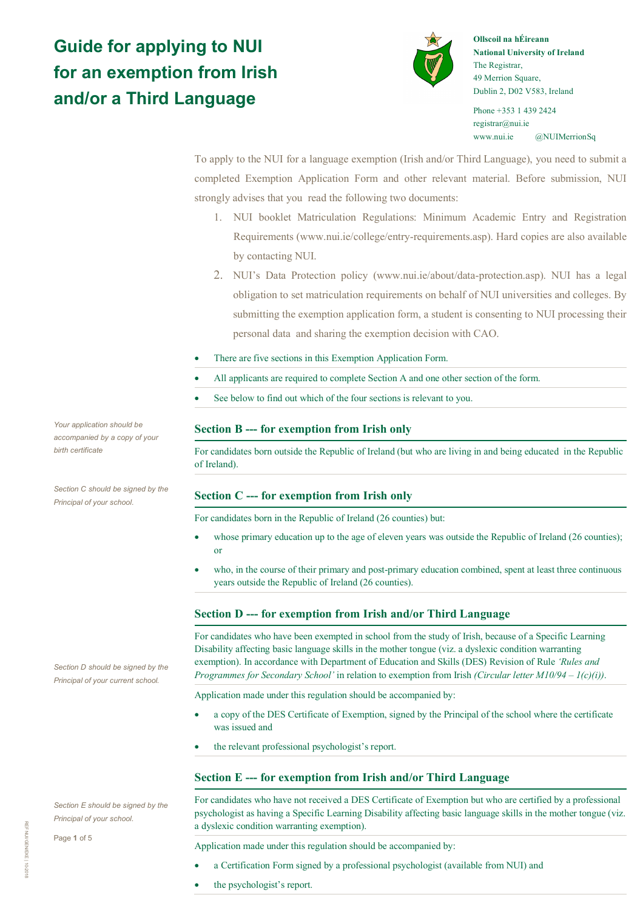# **Guide for applying to NUI for an exemption from Irish and/or a Third Language**



**Ollscoil na hÉireann National University of Ireland** The Registrar, 49 Merrion Square, Dublin 2, D02 V583, Ireland

Phone +353 1 439 2424 registrar@nui.ie www.nui.ie @NUIMerrionSq

To apply to the NUI for a language exemption (Irish and/or Third Language), you need to submit a completed Exemption Application Form and other relevant material. Before submission, NUI strongly advises that you read the following two documents:

- 1. NUI booklet Matriculation Regulations: Minimum Academic Entry and Registration Requirements (www.nui.ie/college/entry-requirements.asp). Hard copies are also available by contacting NUI.
- 2. NUI's Data Protection policy (www.nui.ie/about/data-protection.asp). NUI has a legal obligation to set matriculation requirements on behalf of NUI universities and colleges. By submitting the exemption application form, a student is consenting to NUI processing their personal data and sharing the exemption decision with CAO.
- There are five sections in this Exemption Application Form.
- All applicants are required to complete Section A and one other section of the form.
- See below to find out which of the four sections is relevant to you.

## **Section B --- for exemption from Irish only**

For candidates born outside the Republic of Ireland (but who are living in and being educated in the Republic of Ireland).

## **Section C --- for exemption from Irish only**

For candidates born in the Republic of Ireland (26 counties) but:

- whose primary education up to the age of eleven years was outside the Republic of Ireland (26 counties); or
- who, in the course of their primary and post-primary education combined, spent at least three continuous years outside the Republic of Ireland (26 counties).

## **Section D --- for exemption from Irish and/or Third Language**

For candidates who have been exempted in school from the study of Irish, because of a Specific Learning Disability affecting basic language skills in the mother tongue (viz. a dyslexic condition warranting exemption). In accordance with Department of Education and Skills (DES) Revision of Rule *'Rules and Programmes for Secondary School'* in relation to exemption from Irish *(Circular letter M10/94 – 1(c)(i))*.

Application made under this regulation should be accompanied by:

- a copy of the DES Certificate of Exemption, signed by the Principal of the school where the certificate was issued and
- the relevant professional psychologist's report.

## **Section E --- for exemption from Irish and/or Third Language**

For candidates who have not received a DES Certificate of Exemption but who are certified by a professional psychologist as having a Specific Learning Disability affecting basic language skills in the mother tongue (viz. a dyslexic condition warranting exemption).

Application made under this regulation should be accompanied by:

- a Certification Form signed by a professional psychologist (available from NUI) and
- the psychologist's report.

*Your application should be accompanied by a copy of your birth certificate*

*Section C should be signed by the Principal of your school.*

*Section D should be signed by the Principal of your current school.*

*Section E should be signed by the Principal of your school.*

Page **1** of 5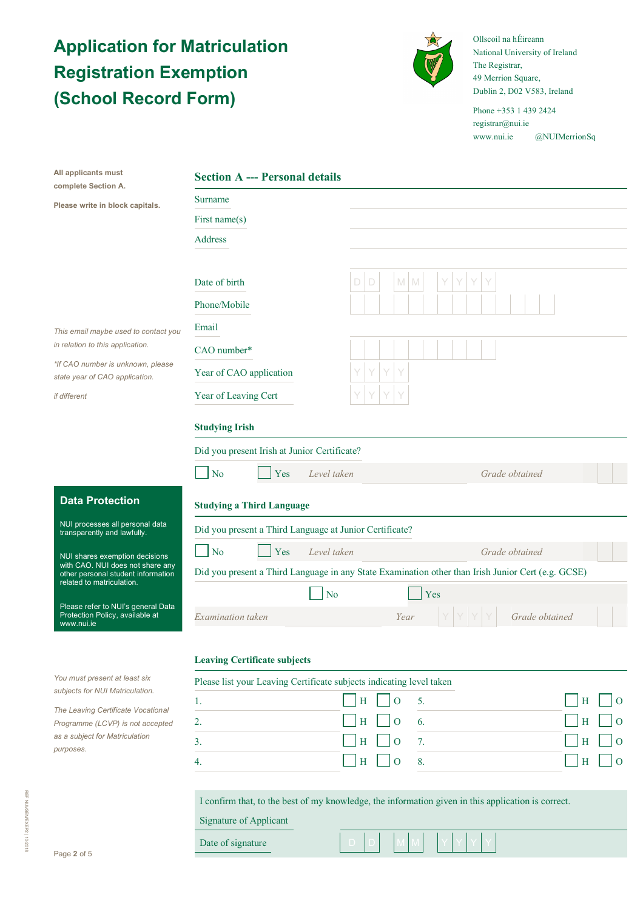# **Application for Matriculation Registration Exemption (School Record Form)**



Ollscoil na hÉireann National University of Ireland The Registrar, 49 Merrion Square, Dublin 2, D02 V583, Ireland

Phone +353 1 439 2424 registrar@nui.ie www.nui.ie @NUIMerrionSq

| All applicants must<br>complete Section A.                                                          | <b>Section A --- Personal details</b>                                                              |                             |                |  |  |  |  |
|-----------------------------------------------------------------------------------------------------|----------------------------------------------------------------------------------------------------|-----------------------------|----------------|--|--|--|--|
| Please write in block capitals.                                                                     | Surname                                                                                            |                             |                |  |  |  |  |
|                                                                                                     | First name(s)                                                                                      |                             |                |  |  |  |  |
|                                                                                                     | Address                                                                                            |                             |                |  |  |  |  |
|                                                                                                     |                                                                                                    |                             |                |  |  |  |  |
|                                                                                                     | Date of birth                                                                                      | M<br>D<br>$\mathbb{M}$<br>D |                |  |  |  |  |
|                                                                                                     | Phone/Mobile                                                                                       |                             |                |  |  |  |  |
| This email maybe used to contact you                                                                | Email                                                                                              |                             |                |  |  |  |  |
| in relation to this application.                                                                    | CAO number*                                                                                        |                             |                |  |  |  |  |
| *If CAO number is unknown, please<br>state year of CAO application.                                 | Year of CAO application                                                                            |                             |                |  |  |  |  |
| if different                                                                                        | Year of Leaving Cert                                                                               |                             |                |  |  |  |  |
|                                                                                                     |                                                                                                    |                             |                |  |  |  |  |
|                                                                                                     | <b>Studying Irish</b>                                                                              |                             |                |  |  |  |  |
|                                                                                                     | Did you present Irish at Junior Certificate?                                                       |                             |                |  |  |  |  |
|                                                                                                     | No<br>Yes<br>Level taken                                                                           |                             | Grade obtained |  |  |  |  |
| <b>Data Protection</b>                                                                              | <b>Studying a Third Language</b>                                                                   |                             |                |  |  |  |  |
| NUI processes all personal data<br>transparently and lawfully.                                      | Did you present a Third Language at Junior Certificate?                                            |                             |                |  |  |  |  |
| NUI shares exemption decisions                                                                      | N <sub>o</sub><br>Yes<br>Level taken                                                               | Grade obtained              |                |  |  |  |  |
| with CAO. NUI does not share any<br>other personal student information<br>related to matriculation. | Did you present a Third Language in any State Examination other than Irish Junior Cert (e.g. GCSE) |                             |                |  |  |  |  |
|                                                                                                     | N <sub>o</sub>                                                                                     | Yes                         |                |  |  |  |  |
| Please refer to NUI's general Data<br>Protection Policy, available at<br>www.nui.ie                 | Examination taken                                                                                  | Year                        | Grade obtained |  |  |  |  |
|                                                                                                     |                                                                                                    |                             |                |  |  |  |  |
|                                                                                                     | <b>Leaving Certificate subjects</b>                                                                |                             |                |  |  |  |  |
| You must present at least six<br>subjects for NUI Matriculation.                                    | Please list your Leaving Certificate subjects indicating level taken                               |                             |                |  |  |  |  |
| The Leaving Certificate Vocational                                                                  | 1.                                                                                                 | $\overline{O}$<br>5.<br>H   | Н<br>$\Omega$  |  |  |  |  |
| Programme (LCVP) is not accepted<br>as a subject for Matriculation<br>purposes.                     | 2.                                                                                                 | H<br>$\rm{O}$<br>6.         | Н<br>$\Omega$  |  |  |  |  |
|                                                                                                     | 3.                                                                                                 | Η<br>$\mathbf{O}$<br>7.     | Н              |  |  |  |  |
|                                                                                                     | 4.                                                                                                 | H<br>8.<br>$\mathbf{O}$     | Н<br>$\Omega$  |  |  |  |  |
|                                                                                                     |                                                                                                    |                             |                |  |  |  |  |
|                                                                                                     | I confirm that, to the best of my knowledge, the information given in this application is correct. |                             |                |  |  |  |  |
|                                                                                                     | <b>Signature of Applicant</b>                                                                      |                             |                |  |  |  |  |
| Page 2 of 5                                                                                         | Date of signature                                                                                  |                             |                |  |  |  |  |
|                                                                                                     |                                                                                                    |                             |                |  |  |  |  |
|                                                                                                     |                                                                                                    |                             |                |  |  |  |  |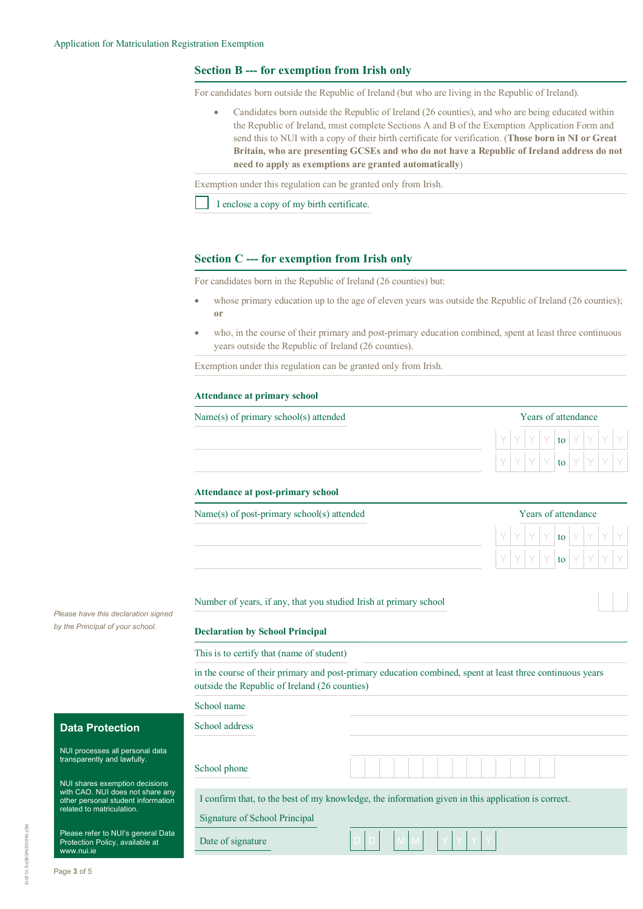## **Section B --- for exemption from Irish only**

For candidates born outside the Republic of Ireland (but who are living in the Republic of Ireland).

• Candidates born outside the Republic of Ireland (26 counties), and who are being educated within the Republic of Ireland, must complete Sections A and B of the Exemption Application Form and send this to NUI with a copy of their birth certificate for verification. (**Those born in NI or Great Britain, who are presenting GCSEs and who do not have a Republic of Ireland address do not need to apply as exemptions are granted automatically**)

Exemption under this regulation can be granted only from Irish.

I enclose a copy of my birth certificate.

### **Section C --- for exemption from Irish only**

For candidates born in the Republic of Ireland (26 counties) but:

- whose primary education up to the age of eleven years was outside the Republic of Ireland (26 counties); **or**
- who, in the course of their primary and post-primary education combined, spent at least three continuous years outside the Republic of Ireland (26 counties).

Exemption under this regulation can be granted only from Irish.

#### **Attendance at primary school**

 $Name(s)$  of primary school $(s)$  attended

|  |  | Years of attendance |  |  |
|--|--|---------------------|--|--|
|  |  | to                  |  |  |
|  |  | to                  |  |  |

#### **Attendance at post-primary school**

 $Name(s)$  of post-primary school(s) attended

|  |  | Years of attendance |    |  |  |
|--|--|---------------------|----|--|--|
|  |  |                     | to |  |  |
|  |  |                     | to |  |  |

Number of years, if any, that you studied Irish at primary school

### **Declaration by School Principal**

This is to certify that (name of student)

in the course of their primary and post-primary education combined, spent at least three continuous years outside the Republic of Ireland (26 counties)

|                                                                                                                                       | School name                   |                                                                                                    |
|---------------------------------------------------------------------------------------------------------------------------------------|-------------------------------|----------------------------------------------------------------------------------------------------|
| <b>Data Protection</b>                                                                                                                | School address                |                                                                                                    |
| NUI processes all personal data<br>transparently and lawfully.                                                                        | School phone                  |                                                                                                    |
| NUI shares exemption decisions<br>with CAO. NUI does not share any<br>other personal student information<br>related to matriculation. | Signature of School Principal | I confirm that, to the best of my knowledge, the information given in this application is correct. |
| Please refer to NUI's general Data<br>Protection Policy, available at<br>www.nii.o                                                    | Date of signature             |                                                                                                    |

*Please have this declaration signed by the Principal of your school.*

www.nui.ie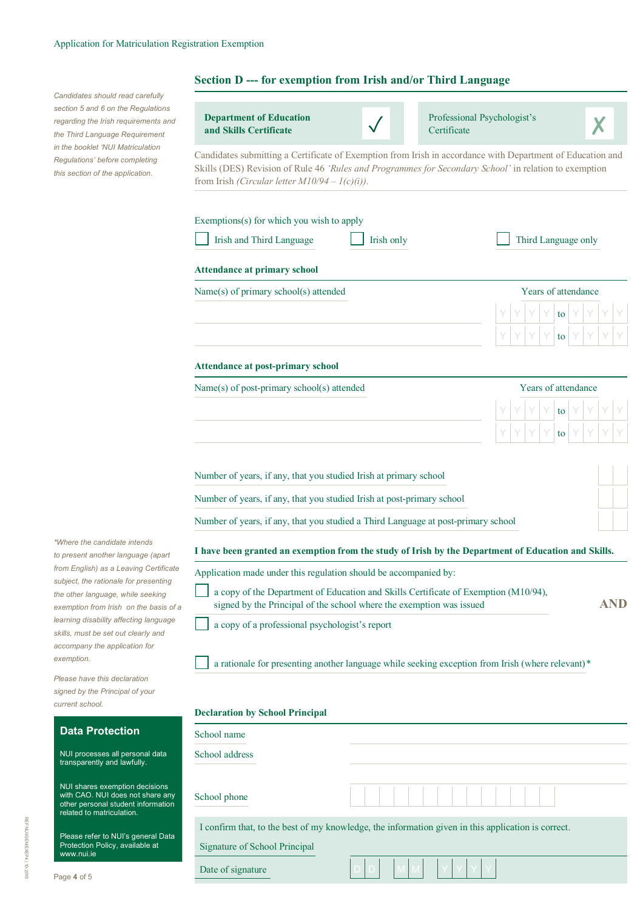*Candidates should read carefully section 5 and 6 on the Regulations regarding the Irish requirements and the Third Language Requirement in the booklet 'NUI Matriculation Regulations' before completing this section of the application.* 

## **Section D --- for exemption from Irish and/or Third Language**

**Department of Education** 

| regarding the Irish requirements and<br>the Third Language Requirement                                         | <b>Department of Education</b><br>and Skills Certificate                                                                                                                                                                                                                 |                     | Professional Psychologist's<br>Certificate                                                       |  |  |  |  |  |
|----------------------------------------------------------------------------------------------------------------|--------------------------------------------------------------------------------------------------------------------------------------------------------------------------------------------------------------------------------------------------------------------------|---------------------|--------------------------------------------------------------------------------------------------|--|--|--|--|--|
| in the booklet 'NUI Matriculation<br>Regulations' before completing<br>this section of the application.        | Candidates submitting a Certificate of Exemption from Irish in accordance with Department of Education and<br>Skills (DES) Revision of Rule 46 'Rules and Programmes for Secondary School' in relation to exemption<br>from Irish (Circular letter $M10/94 - I(c)(i)$ ). |                     |                                                                                                  |  |  |  |  |  |
|                                                                                                                | Exemptions(s) for which you wish to apply<br>Irish and Third Language                                                                                                                                                                                                    | Irish only          | Third Language only                                                                              |  |  |  |  |  |
|                                                                                                                | <b>Attendance at primary school</b>                                                                                                                                                                                                                                      |                     |                                                                                                  |  |  |  |  |  |
|                                                                                                                | Name(s) of primary school(s) attended                                                                                                                                                                                                                                    | Years of attendance |                                                                                                  |  |  |  |  |  |
|                                                                                                                |                                                                                                                                                                                                                                                                          |                     | to<br>to                                                                                         |  |  |  |  |  |
|                                                                                                                | <b>Attendance at post-primary school</b>                                                                                                                                                                                                                                 |                     |                                                                                                  |  |  |  |  |  |
|                                                                                                                | Name(s) of post-primary school(s) attended                                                                                                                                                                                                                               |                     | Years of attendance                                                                              |  |  |  |  |  |
|                                                                                                                |                                                                                                                                                                                                                                                                          |                     | to                                                                                               |  |  |  |  |  |
|                                                                                                                |                                                                                                                                                                                                                                                                          |                     | to                                                                                               |  |  |  |  |  |
|                                                                                                                | Number of years, if any, that you studied Irish at primary school                                                                                                                                                                                                        |                     |                                                                                                  |  |  |  |  |  |
|                                                                                                                | Number of years, if any, that you studied Irish at post-primary school                                                                                                                                                                                                   |                     |                                                                                                  |  |  |  |  |  |
|                                                                                                                | Number of years, if any, that you studied a Third Language at post-primary school                                                                                                                                                                                        |                     |                                                                                                  |  |  |  |  |  |
| *Where the candidate intends<br>to present another language (apart                                             | I have been granted an exemption from the study of Irish by the Department of Education and Skills.                                                                                                                                                                      |                     |                                                                                                  |  |  |  |  |  |
| from English) as a Leaving Certificate<br>subject, the rationale for presenting                                | Application made under this regulation should be accompanied by:                                                                                                                                                                                                         |                     |                                                                                                  |  |  |  |  |  |
| the other language, while seeking<br>exemption from Irish on the basis of a                                    | a copy of the Department of Education and Skills Certificate of Exemption (M10/94),<br><b>AND</b><br>signed by the Principal of the school where the exemption was issued                                                                                                |                     |                                                                                                  |  |  |  |  |  |
| learning disability affecting language<br>skills, must be set out clearly and<br>accompany the application for | a copy of a professional psychologist's report                                                                                                                                                                                                                           |                     |                                                                                                  |  |  |  |  |  |
| exemption.                                                                                                     |                                                                                                                                                                                                                                                                          |                     | a rationale for presenting another language while seeking exception from Irish (where relevant)* |  |  |  |  |  |
| Please have this declaration<br>signed by the Principal of your<br>current school.                             |                                                                                                                                                                                                                                                                          |                     |                                                                                                  |  |  |  |  |  |
|                                                                                                                | <b>Declaration by School Principal</b>                                                                                                                                                                                                                                   |                     |                                                                                                  |  |  |  |  |  |
| <b>Data Protection</b>                                                                                         | School name                                                                                                                                                                                                                                                              |                     |                                                                                                  |  |  |  |  |  |

I confirm that, to the best of my knowledge, the information given in this application is correct.

NUI processes all personal data transparently and lawfully.

School address

School phone

Date of signature

Signature of School Principal

NUI shares exemption decisions with CAO. NUI does not share any other personal student information related to matriculation.

Please refer to NUI's general Data Protection Policy, available at www.nui.ie